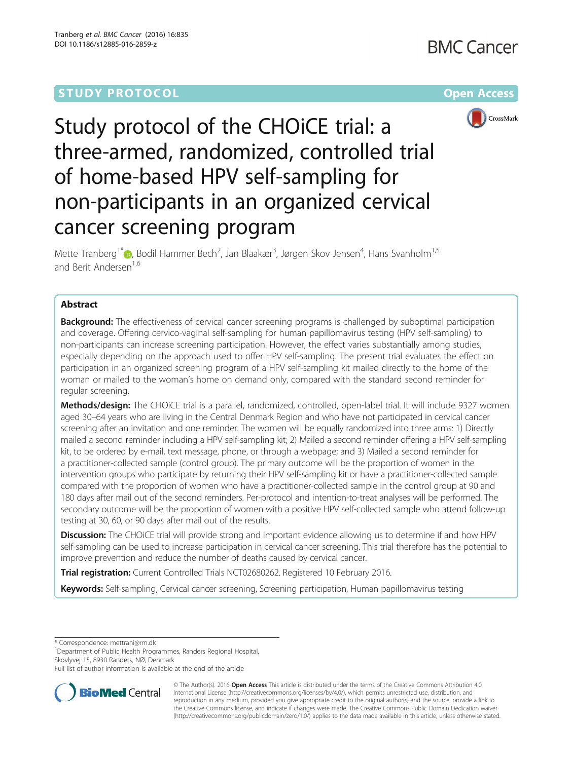

Study protocol of the CHOiCE trial: a three-armed, randomized, controlled trial of home-based HPV self-sampling for non-participants in an organized cervical cancer screening program

Mette Tranberg<sup>1[\\*](http://orcid.org/0000-0002-6285-6694)</sup> (D), Bodil Hammer Bech<sup>2</sup>, Jan Blaakær<sup>3</sup>, Jørgen Skov Jensen<sup>4</sup>, Hans Svanholm<sup>1,5</sup> and Berit Andersen<sup>1,6</sup>

# Abstract

**Background:** The effectiveness of cervical cancer screening programs is challenged by suboptimal participation and coverage. Offering cervico-vaginal self-sampling for human papillomavirus testing (HPV self-sampling) to non-participants can increase screening participation. However, the effect varies substantially among studies, especially depending on the approach used to offer HPV self-sampling. The present trial evaluates the effect on participation in an organized screening program of a HPV self-sampling kit mailed directly to the home of the woman or mailed to the woman's home on demand only, compared with the standard second reminder for regular screening.

Methods/design: The CHOICE trial is a parallel, randomized, controlled, open-label trial. It will include 9327 women aged 30–64 years who are living in the Central Denmark Region and who have not participated in cervical cancer screening after an invitation and one reminder. The women will be equally randomized into three arms: 1) Directly mailed a second reminder including a HPV self-sampling kit; 2) Mailed a second reminder offering a HPV self-sampling kit, to be ordered by e-mail, text message, phone, or through a webpage; and 3) Mailed a second reminder for a practitioner-collected sample (control group). The primary outcome will be the proportion of women in the intervention groups who participate by returning their HPV self-sampling kit or have a practitioner-collected sample compared with the proportion of women who have a practitioner-collected sample in the control group at 90 and 180 days after mail out of the second reminders. Per-protocol and intention-to-treat analyses will be performed. The secondary outcome will be the proportion of women with a positive HPV self-collected sample who attend follow-up testing at 30, 60, or 90 days after mail out of the results.

Discussion: The CHOICE trial will provide strong and important evidence allowing us to determine if and how HPV self-sampling can be used to increase participation in cervical cancer screening. This trial therefore has the potential to improve prevention and reduce the number of deaths caused by cervical cancer.

**Trial registration:** Current Controlled Trials [NCT02680262.](https://clinicaltrials.gov/ct2/show/NCT02680262?term=HPV+self+sampling&rank=1) Registered 10 February 2016.

Keywords: Self-sampling, Cervical cancer screening, Screening participation, Human papillomavirus testing

\* Correspondence: [mettrani@rm.dk](mailto:mettrani@rm.dk) <sup>1</sup>

<sup>1</sup>Department of Public Health Programmes, Randers Regional Hospital, Skovlyvej 15, 8930 Randers, NØ, Denmark

Full list of author information is available at the end of the article



© The Author(s). 2016 Open Access This article is distributed under the terms of the Creative Commons Attribution 4.0 International License [\(http://creativecommons.org/licenses/by/4.0/](http://creativecommons.org/licenses/by/4.0/)), which permits unrestricted use, distribution, and reproduction in any medium, provided you give appropriate credit to the original author(s) and the source, provide a link to the Creative Commons license, and indicate if changes were made. The Creative Commons Public Domain Dedication waiver [\(http://creativecommons.org/publicdomain/zero/1.0/](http://creativecommons.org/publicdomain/zero/1.0/)) applies to the data made available in this article, unless otherwise stated.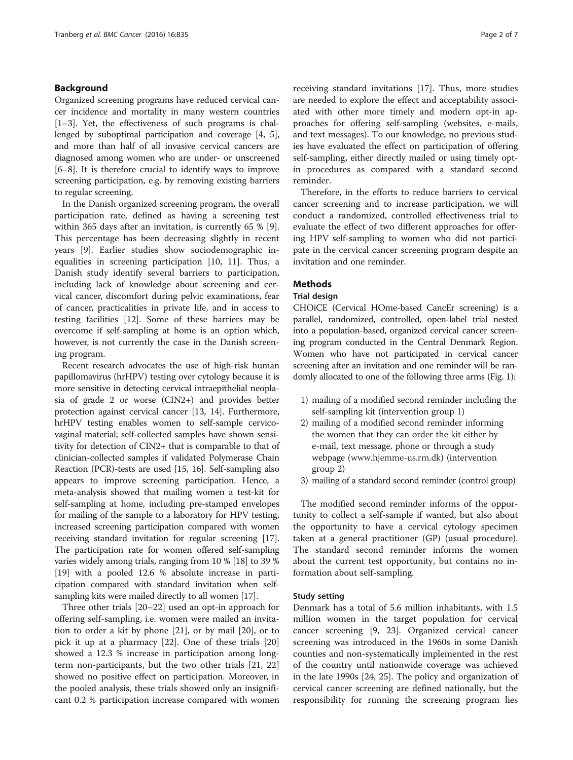## Background

Organized screening programs have reduced cervical cancer incidence and mortality in many western countries [[1](#page-5-0)–[3](#page-5-0)]. Yet, the effectiveness of such programs is challenged by suboptimal participation and coverage [[4, 5](#page-5-0)], and more than half of all invasive cervical cancers are diagnosed among women who are under- or unscreened [[6](#page-5-0)–[8](#page-6-0)]. It is therefore crucial to identify ways to improve screening participation, e.g. by removing existing barriers to regular screening.

In the Danish organized screening program, the overall participation rate, defined as having a screening test within 365 days after an invitation, is currently 65 % [\[9](#page-6-0)]. This percentage has been decreasing slightly in recent years [[9\]](#page-6-0). Earlier studies show sociodemographic inequalities in screening participation [\[10, 11](#page-6-0)]. Thus, a Danish study identify several barriers to participation, including lack of knowledge about screening and cervical cancer, discomfort during pelvic examinations, fear of cancer, practicalities in private life, and in access to testing facilities [[12\]](#page-6-0). Some of these barriers may be overcome if self-sampling at home is an option which, however, is not currently the case in the Danish screening program.

Recent research advocates the use of high-risk human papillomavirus (hrHPV) testing over cytology because it is more sensitive in detecting cervical intraepithelial neoplasia of grade 2 or worse (CIN2+) and provides better protection against cervical cancer [\[13](#page-6-0), [14\]](#page-6-0). Furthermore, hrHPV testing enables women to self-sample cervicovaginal material; self-collected samples have shown sensitivity for detection of CIN2+ that is comparable to that of clinician-collected samples if validated Polymerase Chain Reaction (PCR)-tests are used [\[15, 16\]](#page-6-0). Self-sampling also appears to improve screening participation. Hence, a meta-analysis showed that mailing women a test-kit for self-sampling at home, including pre-stamped envelopes for mailing of the sample to a laboratory for HPV testing, increased screening participation compared with women receiving standard invitation for regular screening [[17](#page-6-0)]. The participation rate for women offered self-sampling varies widely among trials, ranging from 10 % [\[18\]](#page-6-0) to 39 % [[19](#page-6-0)] with a pooled 12.6 % absolute increase in participation compared with standard invitation when selfsampling kits were mailed directly to all women [[17](#page-6-0)].

Three other trials [\[20](#page-6-0)–[22\]](#page-6-0) used an opt-in approach for offering self-sampling, i.e. women were mailed an invitation to order a kit by phone [\[21\]](#page-6-0), or by mail [[20\]](#page-6-0), or to pick it up at a pharmacy [\[22\]](#page-6-0). One of these trials [[20](#page-6-0)] showed a 12.3 % increase in participation among longterm non-participants, but the two other trials [\[21](#page-6-0), [22](#page-6-0)] showed no positive effect on participation. Moreover, in the pooled analysis, these trials showed only an insignificant 0.2 % participation increase compared with women receiving standard invitations [[17](#page-6-0)]. Thus, more studies are needed to explore the effect and acceptability associated with other more timely and modern opt-in approaches for offering self-sampling (websites, e-mails, and text messages). To our knowledge, no previous studies have evaluated the effect on participation of offering self-sampling, either directly mailed or using timely optin procedures as compared with a standard second reminder.

Therefore, in the efforts to reduce barriers to cervical cancer screening and to increase participation, we will conduct a randomized, controlled effectiveness trial to evaluate the effect of two different approaches for offering HPV self-sampling to women who did not participate in the cervical cancer screening program despite an invitation and one reminder.

## **Methods**

### Trial design

CHOiCE (Cervical HOme-based CancEr screening) is a parallel, randomized, controlled, open-label trial nested into a population-based, organized cervical cancer screening program conducted in the Central Denmark Region. Women who have not participated in cervical cancer screening after an invitation and one reminder will be randomly allocated to one of the following three arms (Fig. [1\)](#page-2-0):

- 1) mailing of a modified second reminder including the self-sampling kit (intervention group 1)
- 2) mailing of a modified second reminder informing the women that they can order the kit either by e-mail, text message, phone or through a study webpage ([www.hjemme-us.rm.dk](http://www.hjemme-us.rm.dk)) (intervention group 2)
- 3) mailing of a standard second reminder (control group)

The modified second reminder informs of the opportunity to collect a self-sample if wanted, but also about the opportunity to have a cervical cytology specimen taken at a general practitioner (GP) (usual procedure). The standard second reminder informs the women about the current test opportunity, but contains no information about self-sampling.

## Study setting

Denmark has a total of 5.6 million inhabitants, with 1.5 million women in the target population for cervical cancer screening [[9, 23\]](#page-6-0). Organized cervical cancer screening was introduced in the 1960s in some Danish counties and non-systematically implemented in the rest of the country until nationwide coverage was achieved in the late 1990s [[24, 25\]](#page-6-0). The policy and organization of cervical cancer screening are defined nationally, but the responsibility for running the screening program lies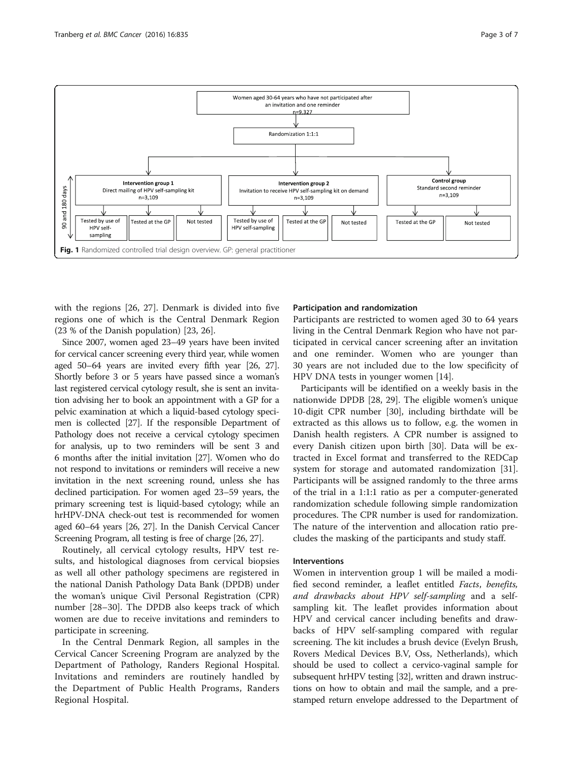<span id="page-2-0"></span>

with the regions [\[26, 27](#page-6-0)]. Denmark is divided into five regions one of which is the Central Denmark Region (23 % of the Danish population) [\[23, 26\]](#page-6-0).

Since 2007, women aged 23–49 years have been invited for cervical cancer screening every third year, while women aged 50–64 years are invited every fifth year [[26](#page-6-0), [27](#page-6-0)]. Shortly before 3 or 5 years have passed since a woman's last registered cervical cytology result, she is sent an invitation advising her to book an appointment with a GP for a pelvic examination at which a liquid-based cytology specimen is collected [\[27\]](#page-6-0). If the responsible Department of Pathology does not receive a cervical cytology specimen for analysis, up to two reminders will be sent 3 and 6 months after the initial invitation [\[27](#page-6-0)]. Women who do not respond to invitations or reminders will receive a new invitation in the next screening round, unless she has declined participation. For women aged 23–59 years, the primary screening test is liquid-based cytology; while an hrHPV-DNA check-out test is recommended for women aged 60–64 years [[26](#page-6-0), [27](#page-6-0)]. In the Danish Cervical Cancer Screening Program, all testing is free of charge [\[26, 27](#page-6-0)].

Routinely, all cervical cytology results, HPV test results, and histological diagnoses from cervical biopsies as well all other pathology specimens are registered in the national Danish Pathology Data Bank (DPDB) under the woman's unique Civil Personal Registration (CPR) number [\[28](#page-6-0)–[30\]](#page-6-0). The DPDB also keeps track of which women are due to receive invitations and reminders to participate in screening.

In the Central Denmark Region, all samples in the Cervical Cancer Screening Program are analyzed by the Department of Pathology, Randers Regional Hospital. Invitations and reminders are routinely handled by the Department of Public Health Programs, Randers Regional Hospital.

## Participation and randomization

Participants are restricted to women aged 30 to 64 years living in the Central Denmark Region who have not participated in cervical cancer screening after an invitation and one reminder. Women who are younger than 30 years are not included due to the low specificity of HPV DNA tests in younger women [\[14](#page-6-0)].

Participants will be identified on a weekly basis in the nationwide DPDB [[28](#page-6-0), [29\]](#page-6-0). The eligible women's unique 10-digit CPR number [[30](#page-6-0)], including birthdate will be extracted as this allows us to follow, e.g. the women in Danish health registers. A CPR number is assigned to every Danish citizen upon birth [[30\]](#page-6-0). Data will be extracted in Excel format and transferred to the REDCap system for storage and automated randomization [\[31](#page-6-0)]. Participants will be assigned randomly to the three arms of the trial in a 1:1:1 ratio as per a computer-generated randomization schedule following simple randomization procedures. The CPR number is used for randomization. The nature of the intervention and allocation ratio precludes the masking of the participants and study staff.

## Interventions

Women in intervention group 1 will be mailed a modified second reminder, a leaflet entitled Facts, benefits, and drawbacks about HPV self-sampling and a selfsampling kit. The leaflet provides information about HPV and cervical cancer including benefits and drawbacks of HPV self-sampling compared with regular screening. The kit includes a brush device (Evelyn Brush, Rovers Medical Devices B.V, Oss, Netherlands), which should be used to collect a cervico-vaginal sample for subsequent hrHPV testing [[32](#page-6-0)], written and drawn instructions on how to obtain and mail the sample, and a prestamped return envelope addressed to the Department of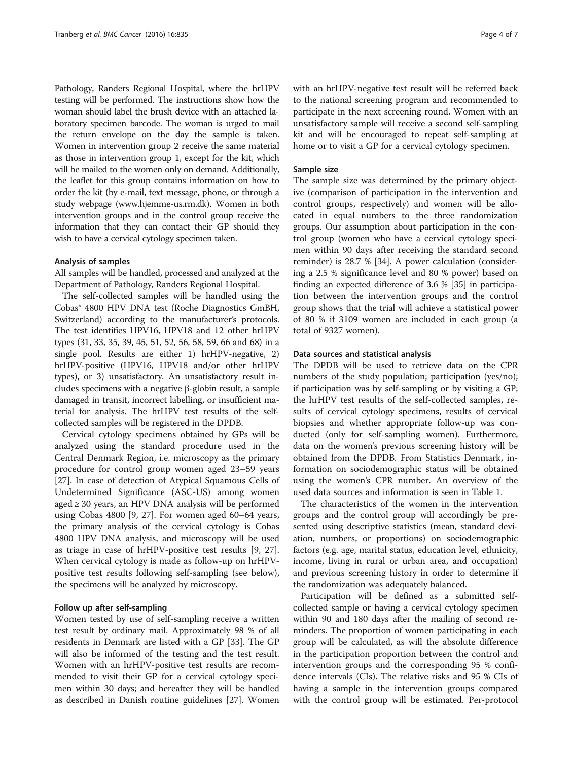Pathology, Randers Regional Hospital, where the hrHPV testing will be performed. The instructions show how the woman should label the brush device with an attached laboratory specimen barcode. The woman is urged to mail the return envelope on the day the sample is taken. Women in intervention group 2 receive the same material as those in intervention group 1, except for the kit, which will be mailed to the women only on demand. Additionally, the leaflet for this group contains information on how to order the kit (by e-mail, text message, phone, or through a study webpage [\(www.hjemme-us.rm.dk\)](http://www.hjemme-us.rm.dk). Women in both intervention groups and in the control group receive the information that they can contact their GP should they wish to have a cervical cytology specimen taken.

## Analysis of samples

All samples will be handled, processed and analyzed at the Department of Pathology, Randers Regional Hospital.

The self-collected samples will be handled using the Cobas® 4800 HPV DNA test (Roche Diagnostics GmBH, Switzerland) according to the manufacturer's protocols. The test identifies HPV16, HPV18 and 12 other hrHPV types (31, 33, 35, 39, 45, 51, 52, 56, 58, 59, 66 and 68) in a single pool. Results are either 1) hrHPV-negative, 2) hrHPV-positive (HPV16, HPV18 and/or other hrHPV types), or 3) unsatisfactory. An unsatisfactory result includes specimens with a negative β-globin result, a sample damaged in transit, incorrect labelling, or insufficient material for analysis. The hrHPV test results of the selfcollected samples will be registered in the DPDB.

Cervical cytology specimens obtained by GPs will be analyzed using the standard procedure used in the Central Denmark Region, i.e. microscopy as the primary procedure for control group women aged 23–59 years [[27\]](#page-6-0). In case of detection of Atypical Squamous Cells of Undetermined Significance (ASC-US) among women aged  $\geq$  30 years, an HPV DNA analysis will be performed using Cobas 4800 [[9, 27\]](#page-6-0). For women aged 60–64 years, the primary analysis of the cervical cytology is Cobas 4800 HPV DNA analysis, and microscopy will be used as triage in case of hrHPV-positive test results [\[9, 27](#page-6-0)]. When cervical cytology is made as follow-up on hrHPVpositive test results following self-sampling (see below), the specimens will be analyzed by microscopy.

## Follow up after self-sampling

Women tested by use of self-sampling receive a written test result by ordinary mail. Approximately 98 % of all residents in Denmark are listed with a GP [[33](#page-6-0)]. The GP will also be informed of the testing and the test result. Women with an hrHPV-positive test results are recommended to visit their GP for a cervical cytology specimen within 30 days; and hereafter they will be handled as described in Danish routine guidelines [\[27](#page-6-0)]. Women with an hrHPV-negative test result will be referred back to the national screening program and recommended to participate in the next screening round. Women with an unsatisfactory sample will receive a second self-sampling kit and will be encouraged to repeat self-sampling at home or to visit a GP for a cervical cytology specimen.

### Sample size

The sample size was determined by the primary objective (comparison of participation in the intervention and control groups, respectively) and women will be allocated in equal numbers to the three randomization groups. Our assumption about participation in the control group (women who have a cervical cytology specimen within 90 days after receiving the standard second reminder) is 28.7 % [\[34](#page-6-0)]. A power calculation (considering a 2.5 % significance level and 80 % power) based on finding an expected difference of 3.6 % [\[35\]](#page-6-0) in participation between the intervention groups and the control group shows that the trial will achieve a statistical power of 80 % if 3109 women are included in each group (a total of 9327 women).

### Data sources and statistical analysis

The DPDB will be used to retrieve data on the CPR numbers of the study population; participation (yes/no); if participation was by self-sampling or by visiting a GP; the hrHPV test results of the self-collected samples, results of cervical cytology specimens, results of cervical biopsies and whether appropriate follow-up was conducted (only for self-sampling women). Furthermore, data on the women's previous screening history will be obtained from the DPDB. From Statistics Denmark, information on sociodemographic status will be obtained using the women's CPR number. An overview of the used data sources and information is seen in Table [1](#page-4-0).

The characteristics of the women in the intervention groups and the control group will accordingly be presented using descriptive statistics (mean, standard deviation, numbers, or proportions) on sociodemographic factors (e.g. age, marital status, education level, ethnicity, income, living in rural or urban area, and occupation) and previous screening history in order to determine if the randomization was adequately balanced.

Participation will be defined as a submitted selfcollected sample or having a cervical cytology specimen within 90 and 180 days after the mailing of second reminders. The proportion of women participating in each group will be calculated, as will the absolute difference in the participation proportion between the control and intervention groups and the corresponding 95 % confidence intervals (CIs). The relative risks and 95 % CIs of having a sample in the intervention groups compared with the control group will be estimated. Per-protocol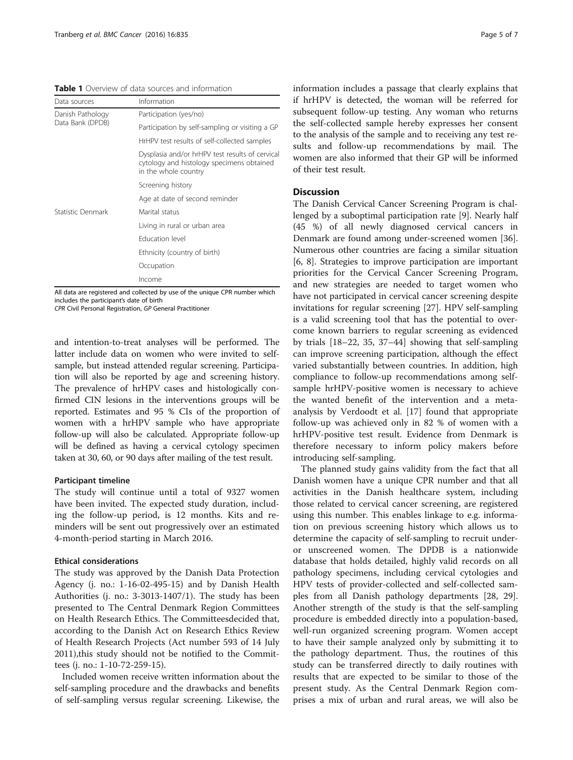<span id="page-4-0"></span>Table 1 Overview of data sources and information

| Data sources                         | Information                                                                                                          |
|--------------------------------------|----------------------------------------------------------------------------------------------------------------------|
| Danish Pathology<br>Data Bank (DPDB) | Participation (yes/no)                                                                                               |
|                                      | Participation by self-sampling or visiting a GP                                                                      |
|                                      | HrHPV test results of self-collected samples                                                                         |
|                                      | Dysplasia and/or hrHPV test results of cervical<br>cytology and histology specimens obtained<br>in the whole country |
|                                      | Screening history                                                                                                    |
|                                      | Age at date of second reminder                                                                                       |
| <b>Statistic Denmark</b>             | Marital status                                                                                                       |
|                                      | Living in rural or urban area                                                                                        |
|                                      | <b>Fducation level</b>                                                                                               |
|                                      | Ethnicity (country of birth)                                                                                         |
|                                      | Occupation                                                                                                           |
|                                      | Income                                                                                                               |

All data are registered and collected by use of the unique CPR number which includes the participant's date of birth

CPR Civil Personal Registration, GP General Practitioner

and intention-to-treat analyses will be performed. The latter include data on women who were invited to selfsample, but instead attended regular screening. Participation will also be reported by age and screening history. The prevalence of hrHPV cases and histologically confirmed CIN lesions in the interventions groups will be reported. Estimates and 95 % CIs of the proportion of women with a hrHPV sample who have appropriate follow-up will also be calculated. Appropriate follow-up will be defined as having a cervical cytology specimen taken at 30, 60, or 90 days after mailing of the test result.

### Participant timeline

The study will continue until a total of 9327 women have been invited. The expected study duration, including the follow-up period, is 12 months. Kits and reminders will be sent out progressively over an estimated 4-month-period starting in March 2016.

### Ethical considerations

The study was approved by the Danish Data Protection Agency (j. no.: 1-16-02-495-15) and by Danish Health Authorities (j. no.: 3-3013-1407/1). The study has been presented to The Central Denmark Region Committees on Health Research Ethics. The Committeesdecided that, according to the Danish Act on Research Ethics Review of Health Research Projects (Act number 593 of 14 July 2011),this study should not be notified to the Committees (j. no.: 1-10-72-259-15).

Included women receive written information about the self-sampling procedure and the drawbacks and benefits of self-sampling versus regular screening. Likewise, the information includes a passage that clearly explains that if hrHPV is detected, the woman will be referred for subsequent follow-up testing. Any woman who returns the self-collected sample hereby expresses her consent to the analysis of the sample and to receiving any test results and follow-up recommendations by mail. The women are also informed that their GP will be informed of their test result.

## **Discussion**

The Danish Cervical Cancer Screening Program is challenged by a suboptimal participation rate [\[9](#page-6-0)]. Nearly half (45 %) of all newly diagnosed cervical cancers in Denmark are found among under-screened women [\[36](#page-6-0)]. Numerous other countries are facing a similar situation [[6,](#page-5-0) [8\]](#page-6-0). Strategies to improve participation are important priorities for the Cervical Cancer Screening Program, and new strategies are needed to target women who have not participated in cervical cancer screening despite invitations for regular screening [\[27](#page-6-0)]. HPV self-sampling is a valid screening tool that has the potential to overcome known barriers to regular screening as evidenced by trials [[18](#page-6-0)–[22](#page-6-0), [35](#page-6-0), [37](#page-6-0)–[44](#page-6-0)] showing that self-sampling can improve screening participation, although the effect varied substantially between countries. In addition, high compliance to follow-up recommendations among selfsample hrHPV-positive women is necessary to achieve the wanted benefit of the intervention and a metaanalysis by Verdoodt et al. [[17](#page-6-0)] found that appropriate follow-up was achieved only in 82 % of women with a hrHPV-positive test result. Evidence from Denmark is therefore necessary to inform policy makers before introducing self-sampling.

The planned study gains validity from the fact that all Danish women have a unique CPR number and that all activities in the Danish healthcare system, including those related to cervical cancer screening, are registered using this number. This enables linkage to e.g. information on previous screening history which allows us to determine the capacity of self-sampling to recruit underor unscreened women. The DPDB is a nationwide database that holds detailed, highly valid records on all pathology specimens, including cervical cytologies and HPV tests of provider-collected and self-collected samples from all Danish pathology departments [[28, 29](#page-6-0)]. Another strength of the study is that the self-sampling procedure is embedded directly into a population-based, well-run organized screening program. Women accept to have their sample analyzed only by submitting it to the pathology department. Thus, the routines of this study can be transferred directly to daily routines with results that are expected to be similar to those of the present study. As the Central Denmark Region comprises a mix of urban and rural areas, we will also be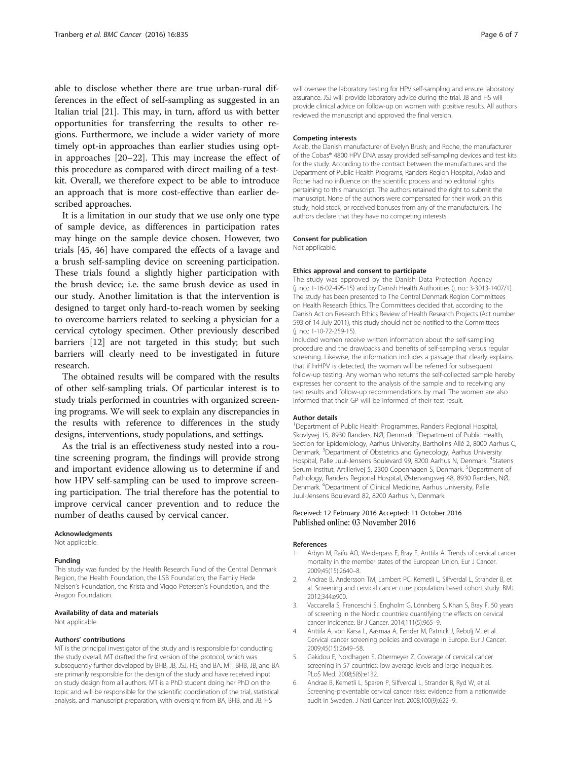<span id="page-5-0"></span>able to disclose whether there are true urban-rural differences in the effect of self-sampling as suggested in an Italian trial [[21](#page-6-0)]. This may, in turn, afford us with better opportunities for transferring the results to other regions. Furthermore, we include a wider variety of more timely opt-in approaches than earlier studies using optin approaches [\[20](#page-6-0)–[22\]](#page-6-0). This may increase the effect of this procedure as compared with direct mailing of a testkit. Overall, we therefore expect to be able to introduce an approach that is more cost-effective than earlier described approaches.

It is a limitation in our study that we use only one type of sample device, as differences in participation rates may hinge on the sample device chosen. However, two trials [[45](#page-6-0), [46\]](#page-6-0) have compared the effects of a lavage and a brush self-sampling device on screening participation. These trials found a slightly higher participation with the brush device; i.e. the same brush device as used in our study. Another limitation is that the intervention is designed to target only hard-to-reach women by seeking to overcome barriers related to seeking a physician for a cervical cytology specimen. Other previously described barriers [\[12](#page-6-0)] are not targeted in this study; but such barriers will clearly need to be investigated in future research.

The obtained results will be compared with the results of other self-sampling trials. Of particular interest is to study trials performed in countries with organized screening programs. We will seek to explain any discrepancies in the results with reference to differences in the study designs, interventions, study populations, and settings.

As the trial is an effectiveness study nested into a routine screening program, the findings will provide strong and important evidence allowing us to determine if and how HPV self-sampling can be used to improve screening participation. The trial therefore has the potential to improve cervical cancer prevention and to reduce the number of deaths caused by cervical cancer.

### Acknowledgments

Not applicable.

### Funding

This study was funded by the Health Research Fund of the Central Denmark Region, the Health Foundation, the LSB Foundation, the Family Hede Nielsen's Foundation, the Krista and Viggo Petersen's Foundation, and the Aragon Foundation.

### Availability of data and materials

Not applicable.

### Authors' contributions

MT is the principal investigator of the study and is responsible for conducting the study overall. MT drafted the first version of the protocol, which was subsequently further developed by BHB, JB, JSJ, HS, and BA. MT, BHB, JB, and BA are primarily responsible for the design of the study and have received input on study design from all authors. MT is a PhD student doing her PhD on the topic and will be responsible for the scientific coordination of the trial, statistical analysis, and manuscript preparation, with oversight from BA, BHB, and JB. HS

will oversee the laboratory testing for HPV self-sampling and ensure laboratory assurance. JSJ will provide laboratory advice during the trial. JB and HS will provide clinical advice on follow-up on women with positive results. All authors reviewed the manuscript and approved the final version.

#### Competing interests

Axlab, the Danish manufacturer of Evelyn Brush; and Roche, the manufacturer of the Cobas® 4800 HPV DNA assay provided self-sampling devices and test kits for the study. According to the contract between the manufactures and the Department of Public Health Programs, Randers Region Hospital, Axlab and Roche had no influence on the scientific process and no editorial rights pertaining to this manuscript. The authors retained the right to submit the manuscript. None of the authors were compensated for their work on this study, hold stock, or received bonuses from any of the manufacturers. The authors declare that they have no competing interests.

#### Consent for publication

Not applicable.

### Ethics approval and consent to participate

The study was approved by the Danish Data Protection Agency (j. no.: 1-16-02-495-15) and by Danish Health Authorities (j. no.: 3-3013-1407/1). The study has been presented to The Central Denmark Region Committees on Health Research Ethics. The Committees decided that, according to the Danish Act on Research Ethics Review of Health Research Projects (Act number 593 of 14 July 2011), this study should not be notified to the Committees (j. no.: 1-10-72-259-15).

Included women receive written information about the self-sampling procedure and the drawbacks and benefits of self-sampling versus regular screening. Likewise, the information includes a passage that clearly explains that if hrHPV is detected, the woman will be referred for subsequent follow-up testing. Any woman who returns the self-collected sample hereby expresses her consent to the analysis of the sample and to receiving any test results and follow-up recommendations by mail. The women are also informed that their GP will be informed of their test result.

#### Author details

<sup>1</sup>Department of Public Health Programmes, Randers Regional Hospital Skovlyvej 15, 8930 Randers, NØ, Denmark. <sup>2</sup>Department of Public Health, Section for Epidemiology, Aarhus University, Bartholins Allé 2, 8000 Aarhus C, Denmark. <sup>3</sup>Department of Obstetrics and Gynecology, Aarhus University Hospital, Palle Juul-Jensens Boulevard 99, 8200 Aarhus N, Denmark. <sup>4</sup>Statens Serum Institut, Artillerivej 5, 2300 Copenhagen S, Denmark. <sup>5</sup>Department of Pathology, Randers Regional Hospital, Østervangsvej 48, 8930 Randers, NØ, Denmark. <sup>6</sup>Department of Clinical Medicine, Aarhus University, Palle Juul-Jensens Boulevard 82, 8200 Aarhus N, Denmark.

## Received: 12 February 2016 Accepted: 11 October 2016 Published online: 03 November 2016

### References

- 1. Arbyn M, Raifu AO, Weiderpass E, Bray F, Anttila A. Trends of cervical cancer mortality in the member states of the European Union. Eur J Cancer. 2009;45(15):2640–8.
- 2. Andrae B, Andersson TM, Lambert PC, Kemetli L, Silfverdal L, Strander B, et al. Screening and cervical cancer cure: population based cohort study. BMJ. 2012;344:e900.
- 3. Vaccarella S, Franceschi S, Engholm G, Lönnberg S, Khan S, Bray F. 50 years of screening in the Nordic countries: quantifying the effects on cervical cancer incidence. Br J Cancer. 2014;111(5):965–9.
- 4. Anttila A, von Karsa L, Aasmaa A, Fender M, Patnick J, Rebolj M, et al. Cervical cancer screening policies and coverage in Europe. Eur J Cancer. 2009;45(15):2649–58.
- 5. Gakidou E, Nordhagen S, Obermeyer Z. Coverage of cervical cancer screening in 57 countries: low average levels and large inequalities. PLoS Med. 2008;5(6):e132.
- 6. Andrae B, Kemetli L, Sparen P, Silfverdal L, Strander B, Ryd W, et al. Screening-preventable cervical cancer risks: evidence from a nationwide audit in Sweden. J Natl Cancer Inst. 2008;100(9):622–9.